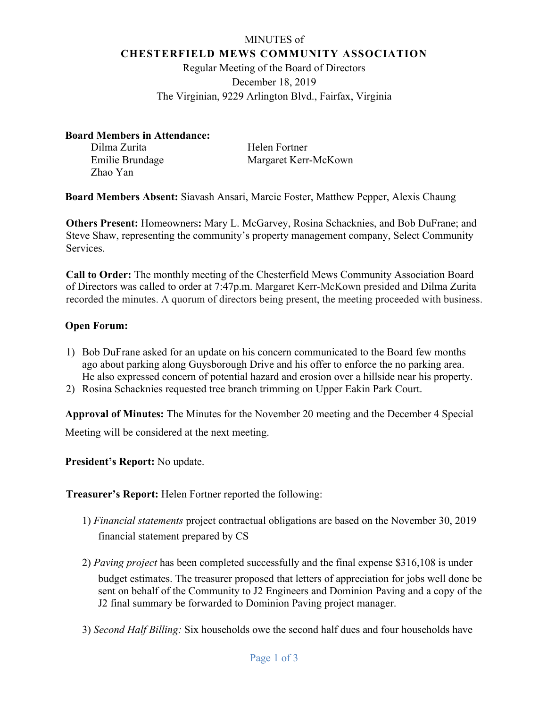# MINUTES of **CHESTERFIELD MEWS COMMUNITY ASSOCIATION**

Regular Meeting of the Board of Directors December 18, 2019 The Virginian, 9229 Arlington Blvd., Fairfax, Virginia

## **Board Members in Attendance:**

Dilma Zurita Helen Fortner Zhao Yan

Emilie Brundage Margaret Kerr-McKown

**Board Members Absent:** Siavash Ansari, Marcie Foster, Matthew Pepper, Alexis Chaung

**Others Present:** Homeowners**:** Mary L. McGarvey, Rosina Schacknies, and Bob DuFrane; and Steve Shaw, representing the community's property management company, Select Community Services.

**Call to Order:** The monthly meeting of the Chesterfield Mews Community Association Board of Directors was called to order at 7:47p.m. Margaret Kerr-McKown presided and Dilma Zurita recorded the minutes. A quorum of directors being present, the meeting proceeded with business.

# **Open Forum:**

- 1) Bob DuFrane asked for an update on his concern communicated to the Board few months ago about parking along Guysborough Drive and his offer to enforce the no parking area. He also expressed concern of potential hazard and erosion over a hillside near his property.
- 2) Rosina Schacknies requested tree branch trimming on Upper Eakin Park Court.

**Approval of Minutes:** The Minutes for the November 20 meeting and the December 4 Special Meeting will be considered at the next meeting.

**President's Report:** No update.

**Treasurer's Report:** Helen Fortner reported the following:

- 1) *Financial statements* project contractual obligations are based on the November 30, 2019 financial statement prepared by CS
- 2) *Paving project* has been completed successfully and the final expense \$316,108 is under budget estimates. The treasurer proposed that letters of appreciation for jobs well done be sent on behalf of the Community to J2 Engineers and Dominion Paving and a copy of the J2 final summary be forwarded to Dominion Paving project manager.
- 3) *Second Half Billing:* Six households owe the second half dues and four households have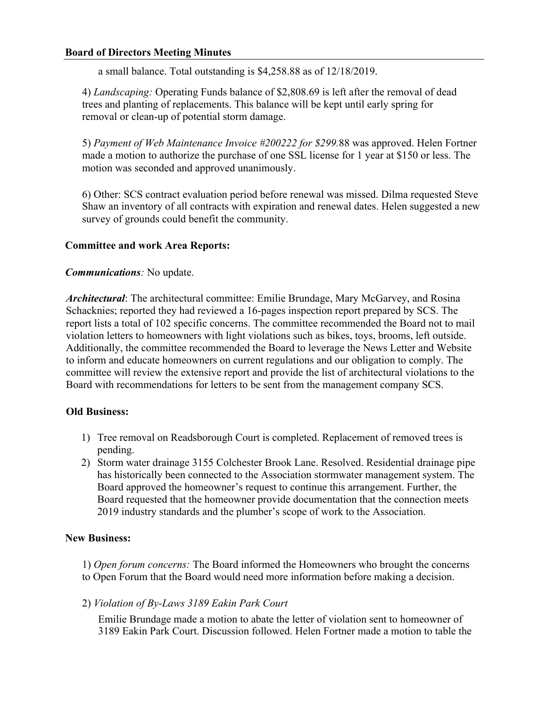## **Board of Directors Meeting Minutes**

a small balance. Total outstanding is \$4,258.88 as of 12/18/2019.

4) *Landscaping:* Operating Funds balance of \$2,808.69 is left after the removal of dead trees and planting of replacements. This balance will be kept until early spring for removal or clean-up of potential storm damage.

5) *Payment of Web Maintenance Invoice #200222 for \$299.*88 was approved. Helen Fortner made a motion to authorize the purchase of one SSL license for 1 year at \$150 or less. The motion was seconded and approved unanimously.

6) Other: SCS contract evaluation period before renewal was missed. Dilma requested Steve Shaw an inventory of all contracts with expiration and renewal dates. Helen suggested a new survey of grounds could benefit the community.

## **Committee and work Area Reports:**

#### *Communications:* No update.

*Architectural*: The architectural committee: Emilie Brundage, Mary McGarvey, and Rosina Schacknies; reported they had reviewed a 16-pages inspection report prepared by SCS. The report lists a total of 102 specific concerns. The committee recommended the Board not to mail violation letters to homeowners with light violations such as bikes, toys, brooms, left outside. Additionally, the committee recommended the Board to leverage the News Letter and Website to inform and educate homeowners on current regulations and our obligation to comply. The committee will review the extensive report and provide the list of architectural violations to the Board with recommendations for letters to be sent from the management company SCS.

## **Old Business:**

- 1) Tree removal on Readsborough Court is completed. Replacement of removed trees is pending.
- 2) Storm water drainage 3155 Colchester Brook Lane. Resolved. Residential drainage pipe has historically been connected to the Association stormwater management system. The Board approved the homeowner's request to continue this arrangement. Further, the Board requested that the homeowner provide documentation that the connection meets 2019 industry standards and the plumber's scope of work to the Association.

#### **New Business:**

1) *Open forum concerns:* The Board informed the Homeowners who brought the concerns to Open Forum that the Board would need more information before making a decision.

2) *Violation of By-Laws 3189 Eakin Park Court* 

Emilie Brundage made a motion to abate the letter of violation sent to homeowner of 3189 Eakin Park Court. Discussion followed. Helen Fortner made a motion to table the